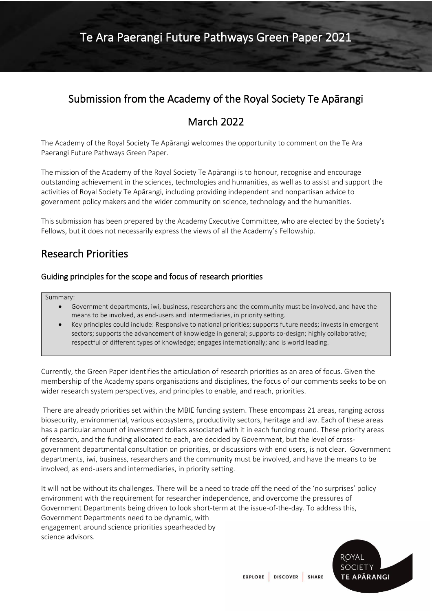# Submission from the Academy of the Royal Society Te Apārangi

## March 2022

The Academy of the Royal Society Te Apārangi welcomes the opportunity to comment on the Te Ara Paerangi Future Pathways Green Paper.

The mission of the Academy of the Royal Society Te Apārangi is to honour, recognise and encourage outstanding achievement in the sciences, technologies and humanities, as well as to assist and support the activities of Royal Society Te Apārangi, including providing independent and nonpartisan advice to government policy makers and the wider community on science, technology and the humanities.

This submission has been prepared by the Academy Executive Committee, who are elected by the Society's Fellows, but it does not necessarily express the views of all the Academy's Fellowship*.*

## Research Priorities

### Guiding principles for the scope and focus of research priorities

#### Summary:

- Government departments, iwi, business, researchers and the community must be involved, and have the means to be involved, as end-users and intermediaries, in priority setting.
- Key principles could include: Responsive to national priorities; supports future needs; invests in emergent sectors; supports the advancement of knowledge in general; supports co-design; highly collaborative; respectful of different types of knowledge; engages internationally; and is world leading.

Currently, the Green Paper identifies the articulation of research priorities as an area of focus. Given the membership of the Academy spans organisations and disciplines, the focus of our comments seeks to be on wider research system perspectives, and principles to enable, and reach, priorities.

There are already priorities set within the MBIE funding system. These encompass 21 areas, ranging across biosecurity, environmental, various ecosystems, productivity sectors, heritage and law. Each of these areas has a particular amount of investment dollars associated with it in each funding round. These priority areas of research, and the funding allocated to each, are decided by Government, but the level of crossgovernment departmental consultation on priorities, or discussions with end users, is not clear. Government departments, iwi, business, researchers and the community must be involved, and have the means to be involved, as end-users and intermediaries, in priority setting.

It will not be without its challenges. There will be a need to trade off the need of the 'no surprises' policy environment with the requirement for researcher independence, and overcome the pressures of Government Departments being driven to look short-term at the issue-of-the-day. To address this, Government Departments need to be dynamic, with engagement around science priorities spearheaded by science advisors.

ROYAL **SOCIETY TE APARANGI** 

EXPLORE DISCOVER SHARE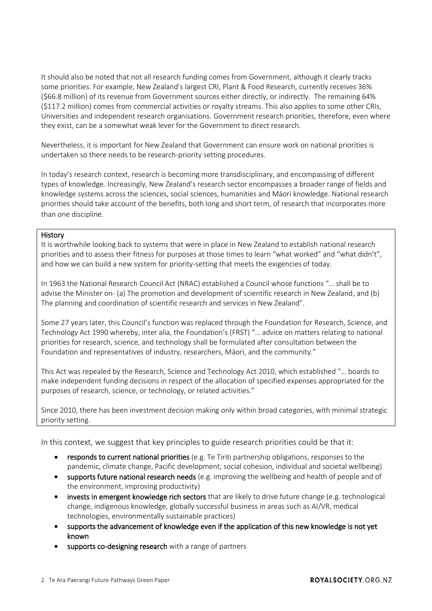It should also be noted that not all research funding comes from Government, although it clearly tracks some priorities. For example, New Zealand's largest CRI, Plant & Food Research, currently receives 36% (\$66.8 million) of its revenue from Government sources either directly, or indirectly. The remaining 64% (\$117.2 million) comes from commercial activities or royalty streams. This also applies to some other CRIs, Universities and independent research organisations. Government research priorities, therefore, even where they exist, can be a somewhat weak lever for the Government to direct research.

Nevertheless, it is important for New Zealand that Government can ensure work on national priorities is undertaken so there needs to be research-priority setting procedures.

In today's research context, research is becoming more transdisciplinary, and encompassing of different types of knowledge. Increasingly, New Zealand's research sector encompasses a broader range of fields and knowledge systems across the sciences, social sciences, humanities and Māori knowledge. National research priorities should take account of the benefits, both long and short term, of research that incorporates more than one discipline.

#### History

It is worthwhile looking back to systems that were in place in New Zealand to establish national research priorities and to assess their fitness for purposes at those times to learn "what worked" and "what didn't", and how we can build a new system for priority-setting that meets the exigencies of today.

In 1963 the National Research Council Act (NRAC) established a Council whose functions "… shall be to advise the Minister on- (a) The promotion and development of scientific research in New Zealand, and (b) The planning and coordination of scientific research and services in New Zealand".

Some 27 years later, this Council's function was replaced through the Foundation for Research, Science, and Technology Act 1990 whereby, inter alia, the Foundation's (FRST) "… advice on matters relating to national priorities for research, science, and technology shall be formulated after consultation between the Foundation and representatives of industry, researchers, Māori, and the community."

This Act was repealed by the Research, Science and Technology Act 2010, which established "… boards to make independent funding decisions in respect of the allocation of specified expenses appropriated for the purposes of research, science, or technology, or related activities."

Since 2010, there has been investment decision making only within broad categories, with minimal strategic priority setting.

In this context, we suggest that key principles to guide research priorities could be that it:

- responds to current national priorities (e.g. Te Tiriti partnership obligations, responses to the pandemic, climate change, Pacific development, social cohesion, individual and societal wellbeing)
- supports future national research needs (e.g. improving the wellbeing and health of people and of the environment, improving productivity)
- invests in emergent knowledge rich sectors that are likely to drive future change (e.g. technological change, indigenous knowledge, globally successful business in areas such as AI/VR, medical technologies, environmentally sustainable practices)
- supports the advancement of knowledge even if the application of this new knowledge is not yet known
- supports co-designing research with a range of partners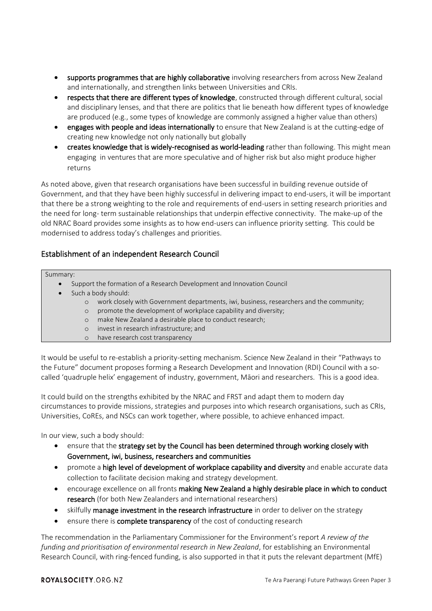- supports programmes that are highly collaborative involving researchers from across New Zealand and internationally, and strengthen links between Universities and CRIs.
- respects that there are different types of knowledge, constructed through different cultural, social and disciplinary lenses, and that there are politics that lie beneath how different types of knowledge are produced (e.g., some types of knowledge are commonly assigned a higher value than others)
- engages with people and ideas internationally to ensure that New Zealand is at the cutting-edge of creating new knowledge not only nationally but globally
- creates knowledge that is widely-recognised as world-leading rather than following. This might mean engaging in ventures that are more speculative and of higher risk but also might produce higher returns

As noted above, given that research organisations have been successful in building revenue outside of Government, and that they have been highly successful in delivering impact to end-users, it will be important that there be a strong weighting to the role and requirements of end-users in setting research priorities and the need for long- term sustainable relationships that underpin effective connectivity. The make-up of the old NRAC Board provides some insights as to how end-users can influence priority setting. This could be modernised to address today's challenges and priorities.

## Establishment of an independent Research Council

#### Summary:

- Support the formation of a Research Development and Innovation Council
- Such a body should:
	- o work closely with Government departments, iwi, business, researchers and the community;
	- o promote the development of workplace capability and diversity;
	- o make New Zealand a desirable place to conduct research;
	- o invest in research infrastructure; and
	- o have research cost transparency

It would be useful to re-establish a priority-setting mechanism. Science New Zealand in their "Pathways to the Future" document proposes forming a Research Development and Innovation (RDI) Council with a socalled 'quadruple helix' engagement of industry, government, Māori and researchers. This is a good idea.

It could build on the strengths exhibited by the NRAC and FRST and adapt them to modern day circumstances to provide missions, strategies and purposes into which research organisations, such as CRIs, Universities, CoREs, and NSCs can work together, where possible, to achieve enhanced impact.

In our view, such a body should:

- ensure that the strategy set by the Council has been determined through working closely with Government, iwi, business, researchers and communities
- promote a high level of development of workplace capability and diversity and enable accurate data collection to facilitate decision making and strategy development.
- encourage excellence on all fronts making New Zealand a highly desirable place in which to conduct research (for both New Zealanders and international researchers)
- skilfully manage investment in the research infrastructure in order to deliver on the strategy
- ensure there is complete transparency of the cost of conducting research

The recommendation in the Parliamentary Commissioner for the Environment's report *A review of the funding and prioritisation of environmental research in New Zealand*, for establishing an Environmental Research Council, with ring-fenced funding, is also supported in that it puts the relevant department (MfE)

#### ROYALSOCIETY.ORG.NZ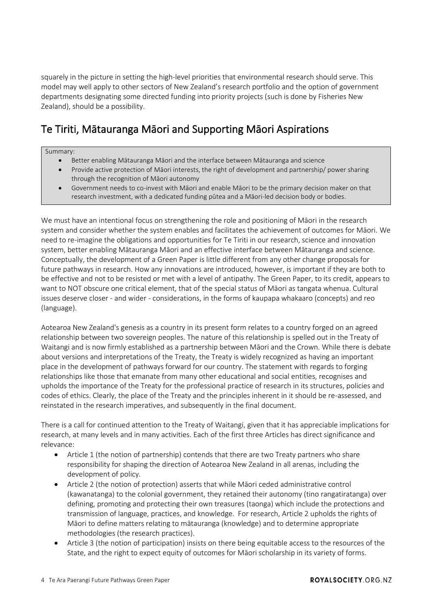squarely in the picture in setting the high-level priorities that environmental research should serve. This model may well apply to other sectors of New Zealand's research portfolio and the option of government departments designating some directed funding into priority projects (such is done by Fisheries New Zealand), should be a possibility.

# Te Tiriti, Mātauranga Māori and Supporting Māori Aspirations

#### Summary:

- Better enabling Mātauranga Māori and the interface between Mātauranga and science
- Provide active protection of Māori interests, the right of development and partnership/ power sharing through the recognition of Māori autonomy
- Government needs to co-invest with Māori and enable Māori to be the primary decision maker on that research investment, with a dedicated funding pūtea and a Māori-led decision body or bodies.

We must have an intentional focus on strengthening the role and positioning of Māori in the research system and consider whether the system enables and facilitates the achievement of outcomes for Māori. We need to re-imagine the obligations and opportunities for Te Tiriti in our research, science and innovation system, better enabling Mātauranga Māori and an effective interface between Mātauranga and science. Conceptually, the development of a Green Paper is little different from any other change proposals for future pathways in research. How any innovations are introduced, however, is important if they are both to be effective and not to be resisted or met with a level of antipathy. The Green Paper, to its credit, appears to want to NOT obscure one critical element, that of the special status of Māori as tangata whenua. Cultural issues deserve closer - and wider - considerations, in the forms of kaupapa whakaaro (concepts) and reo (language).

Aotearoa New Zealand's genesis as a country in its present form relates to a country forged on an agreed relationship between two sovereign peoples. The nature of this relationship is spelled out in the Treaty of Waitangi and is now firmly established as a partnership between Māori and the Crown. While there is debate about versions and interpretations of the Treaty, the Treaty is widely recognized as having an important place in the development of pathways forward for our country. The statement with regards to forging relationships like those that emanate from many other educational and social entities, recognises and upholds the importance of the Treaty for the professional practice of research in its structures, policies and codes of ethics. Clearly, the place of the Treaty and the principles inherent in it should be re-assessed, and reinstated in the research imperatives, and subsequently in the final document.

There is a call for continued attention to the Treaty of Waitangi, given that it has appreciable implications for research, at many levels and in many activities. Each of the first three Articles has direct significance and relevance:

- Article 1 (the notion of partnership) contends that there are two Treaty partners who share responsibility for shaping the direction of Aotearoa New Zealand in all arenas, including the development of policy.
- Article 2 (the notion of protection) asserts that while Māori ceded administrative control (kawanatanga) to the colonial government, they retained their autonomy (tino rangatiratanga) over defining, promoting and protecting their own treasures (taonga) which include the protections and transmission of language, practices, and knowledge. For research, Article 2 upholds the rights of Māori to define matters relating to mātauranga (knowledge) and to determine appropriate methodologies (the research practices).
- Article 3 (the notion of participation) insists on there being equitable access to the resources of the State, and the right to expect equity of outcomes for Māori scholarship in its variety of forms.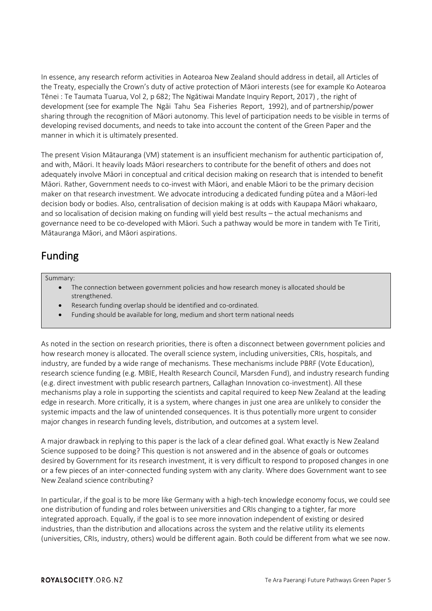In essence, any research reform activities in Aotearoa New Zealand should address in detail, all Articles of the Treaty, especially the Crown's duty of active protection of Māori interests (see for example Ko Aotearoa Tēnei : Te Taumata Tuarua, Vol 2, p 682; The Ngātiwai Mandate Inquiry Report, 2017) , the right of development (see for example The Ngāi Tahu Sea Fisheries Report, 1992), and of partnership/power sharing through the recognition of Māori autonomy. This level of participation needs to be visible in terms of developing revised documents, and needs to take into account the content of the Green Paper and the manner in which it is ultimately presented.

The present Vision Mātauranga (VM) statement is an insufficient mechanism for authentic participation of, and with, Māori. It heavily loads Māori researchers to contribute for the benefit of others and does not adequately involve Māori in conceptual and critical decision making on research that is intended to benefit Māori. Rather, Government needs to co-invest with Māori, and enable Māori to be the primary decision maker on that research investment. We advocate introducing a dedicated funding pūtea and a Māori-led decision body or bodies. Also, centralisation of decision making is at odds with Kaupapa Māori whakaaro, and so localisation of decision making on funding will yield best results – the actual mechanisms and governance need to be co-developed with Māori. Such a pathway would be more in tandem with Te Tiriti, Mātauranga Māori, and Māori aspirations.

# Funding

#### Summary:

- The connection between government policies and how research money is allocated should be strengthened.
- Research funding overlap should be identified and co-ordinated.
- Funding should be available for long, medium and short term national needs

As noted in the section on research priorities, there is often a disconnect between government policies and how research money is allocated. The overall science system, including universities, CRIs, hospitals, and industry, are funded by a wide range of mechanisms. These mechanisms include PBRF (Vote Education), research science funding (e.g. MBIE, Health Research Council, Marsden Fund), and industry research funding (e.g. direct investment with public research partners, Callaghan Innovation co-investment). All these mechanisms play a role in supporting the scientists and capital required to keep New Zealand at the leading edge in research. More critically, it is a system, where changes in just one area are unlikely to consider the systemic impacts and the law of unintended consequences. It is thus potentially more urgent to consider major changes in research funding levels, distribution, and outcomes at a system level.

A major drawback in replying to this paper is the lack of a clear defined goal. What exactly is New Zealand Science supposed to be doing? This question is not answered and in the absence of goals or outcomes desired by Government for its research investment, it is very difficult to respond to proposed changes in one or a few pieces of an inter-connected funding system with any clarity. Where does Government want to see New Zealand science contributing?

In particular, if the goal is to be more like Germany with a high-tech knowledge economy focus, we could see one distribution of funding and roles between universities and CRIs changing to a tighter, far more integrated approach. Equally, if the goal is to see more innovation independent of existing or desired industries, than the distribution and allocations across the system and the relative utility its elements (universities, CRIs, industry, others) would be different again. Both could be different from what we see now.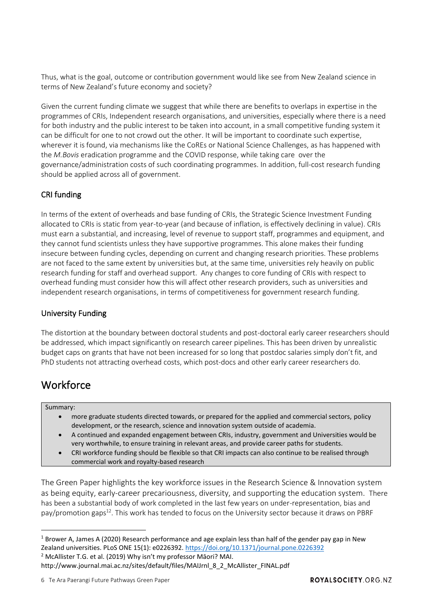Thus, what is the goal, outcome or contribution government would like see from New Zealand science in terms of New Zealand's future economy and society?

Given the current funding climate we suggest that while there are benefits to overlaps in expertise in the programmes of CRIs, Independent research organisations, and universities, especially where there is a need for both industry and the public interest to be taken into account, in a small competitive funding system it can be difficult for one to not crowd out the other. It will be important to coordinate such expertise, wherever it is found, via mechanisms like the CoREs or National Science Challenges, as has happened with the *M.Bovis* eradication programme and the COVID response, while taking care over the governance/administration costs of such coordinating programmes. In addition, full-cost research funding should be applied across all of government.

### CRI funding

In terms of the extent of overheads and base funding of CRIs, the Strategic Science Investment Funding allocated to CRIs is static from year-to-year (and because of inflation, is effectively declining in value). CRIs must earn a substantial, and increasing, level of revenue to support staff, programmes and equipment, and they cannot fund scientists unless they have supportive programmes. This alone makes their funding insecure between funding cycles, depending on current and changing research priorities. These problems are not faced to the same extent by universities but, at the same time, universities rely heavily on public research funding for staff and overhead support. Any changes to core funding of CRIs with respect to overhead funding must consider how this will affect other research providers, such as universities and independent research organisations, in terms of competitiveness for government research funding.

### University Funding

The distortion at the boundary between doctoral students and post-doctoral early career researchers should be addressed, which impact significantly on research career pipelines. This has been driven by unrealistic budget caps on grants that have not been increased for so long that postdoc salaries simply don't fit, and PhD students not attracting overhead costs, which post-docs and other early career researchers do.

## Workforce

#### Summary:

- more graduate students directed towards, or prepared for the applied and commercial sectors, policy development, or the research, science and innovation system outside of academia.
- A continued and expanded engagement between CRIs, industry, government and Universities would be very worthwhile, to ensure training in relevant areas, and provide career paths for students.
- CRI workforce funding should be flexible so that CRI impacts can also continue to be realised through commercial work and royalty-based research

The Green Paper highlights the key workforce issues in the Research Science & Innovation system as being equity, early-career precariousness, diversity, and supporting the education system. There has been a substantial body of work completed in the last few years on under-representation, bias and pay/promotion gaps<sup>12</sup>. This work has tended to focus on the University sector because it draws on PBRF

<sup>2</sup> McAllister T.G. et al. (2019) Why isn't my professor Māori? MAI.

<sup>&</sup>lt;sup>1</sup> Brower A, James A (2020) Research performance and age explain less than half of the gender pay gap in New Zealand universities. PLoS ONE 15(1): e0226392.<https://doi.org/10.1371/journal.pone.0226392>

http://www.journal.mai.ac.nz/sites/default/files/MAIJrnl\_8\_2\_McAllister\_FINAL.pdf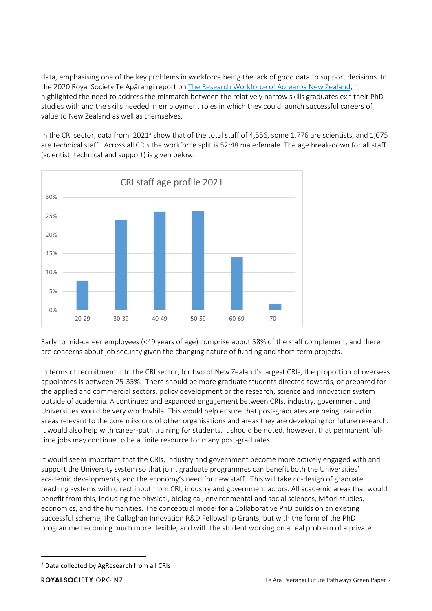data, emphasising one of the key problems in workforce being the lack of good data to support decisions. In the 2020 Royal Society Te Apārangi report on [The Research Workforce of Aotearoa New Zealand,](https://www.royalsociety.org.nz/assets/Research-Workforce-of-Aotearoa-NZ-briefing-paper-and-outcomes-Feb-2021.pdf) it highlighted the need to address the mismatch between the relatively narrow skills graduates exit their PhD studies with and the skills needed in employment roles in which they could launch successful careers of value to New Zealand as well as themselves.

In the CRI sector, data from  $2021^3$  show that of the total staff of 4,556, some 1,776 are scientists, and 1,075 are technical staff. Across all CRIs the workforce split is 52:48 male:female. The age break-down for all staff (scientist, technical and support) is given below.



Early to mid-career employees (<49 years of age) comprise about 58% of the staff complement, and there are concerns about job security given the changing nature of funding and short-term projects.

In terms of recruitment into the CRI sector, for two of New Zealand's largest CRIs, the proportion of overseas appointees is between 25-35%. There should be more graduate students directed towards, or prepared for the applied and commercial sectors, policy development or the research, science and innovation system outside of academia. A continued and expanded engagement between CRIs, industry, government and Universities would be very worthwhile. This would help ensure that post-graduates are being trained in areas relevant to the core missions of other organisations and areas they are developing for future research. It would also help with career-path training for students. It should be noted, however, that permanent fulltime jobs may continue to be a finite resource for many post-graduates.

It would seem important that the CRIs, industry and government become more actively engaged with and support the University system so that joint graduate programmes can benefit both the Universities' academic developments, and the economy's need for new staff. This will take co-design of graduate teaching systems with direct input from CRI, industry and government actors. All academic areas that would benefit from this, including the physical, biological, environmental and social sciences, Māori studies, economics, and the humanities. The conceptual model for a Collaborative PhD builds on an existing successful scheme, the Callaghan Innovation R&D Fellowship Grants, but with the form of the PhD programme becoming much more flexible, and with the student working on a real problem of a private

<sup>&</sup>lt;sup>3</sup> Data collected by AgResearch from all CRIs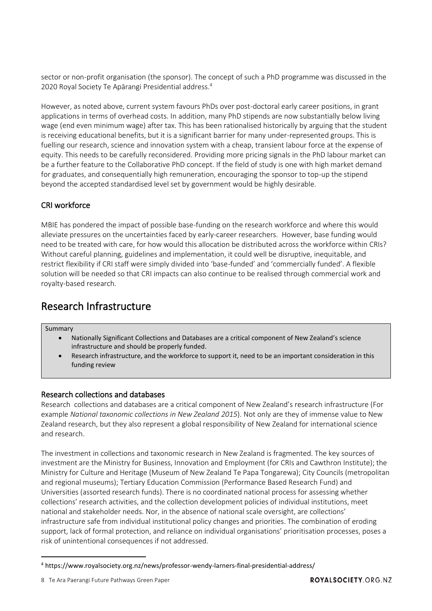sector or non-profit organisation (the sponsor). The concept of such a PhD programme was discussed in the 2020 Royal Society Te Apārangi Presidential address.<sup>4</sup>

However, as noted above, current system favours PhDs over post-doctoral early career positions, in grant applications in terms of overhead costs. In addition, many PhD stipends are now substantially below living wage (end even minimum wage) after tax. This has been rationalised historically by arguing that the student is receiving educational benefits, but it is a significant barrier for many under-represented groups. This is fuelling our research, science and innovation system with a cheap, transient labour force at the expense of equity. This needs to be carefully reconsidered. Providing more pricing signals in the PhD labour market can be a further feature to the Collaborative PhD concept. If the field of study is one with high market demand for graduates, and consequentially high remuneration, encouraging the sponsor to top-up the stipend beyond the accepted standardised level set by government would be highly desirable.

## CRI workforce

MBIE has pondered the impact of possible base-funding on the research workforce and where this would alleviate pressures on the uncertainties faced by early-career researchers. However, base funding would need to be treated with care, for how would this allocation be distributed across the workforce within CRIs? Without careful planning, guidelines and implementation, it could well be disruptive, inequitable, and restrict flexibility if CRI staff were simply divided into 'base-funded' and 'commercially funded'. A flexible solution will be needed so that CRI impacts can also continue to be realised through commercial work and royalty-based research.

## Research Infrastructure

Summary

- Nationally Significant Collections and Databases are a critical component of New Zealand's science infrastructure and should be properly funded.
- Research infrastructure, and the workforce to support it, need to be an important consideration in this funding review

### Research collections and databases

Research collections and databases are a critical component of New Zealand's research infrastructure (For example *[National taxonomic collections in New Zealand](https://www.royalsociety.org.nz/what-we-do/our-expert-advice/all-expert-advice-papers/national-taxonomic-collections-in-new-zealand/) 2015*). Not only are they of immense value to New Zealand research, but they also represent a global responsibility of New Zealand for international science and research.

The investment in collections and taxonomic research in New Zealand is fragmented. The key sources of investment are the Ministry for Business, Innovation and Employment (for CRIs and Cawthron Institute); the Ministry for Culture and Heritage (Museum of New Zealand Te Papa Tongarewa); City Councils (metropolitan and regional museums); Tertiary Education Commission (Performance Based Research Fund) and Universities (assorted research funds). There is no coordinated national process for assessing whether collections' research activities, and the collection development policies of individual institutions, meet national and stakeholder needs. Nor, in the absence of national scale oversight, are collections' infrastructure safe from individual institutional policy changes and priorities. The combination of eroding support, lack of formal protection, and reliance on individual organisations' prioritisation processes, poses a risk of unintentional consequences if not addressed.

<sup>4</sup> https://www.royalsociety.org.nz/news/professor-wendy-larners-final-presidential-address/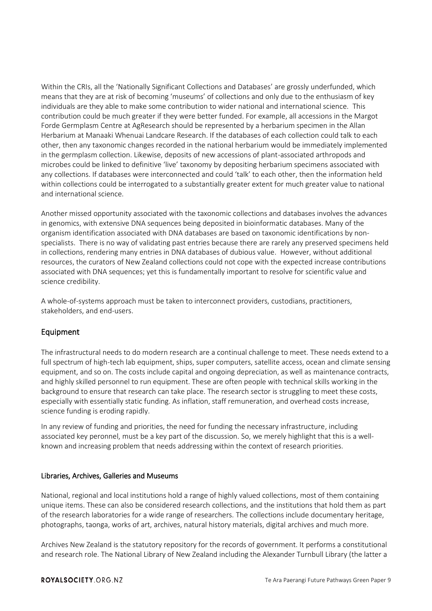Within the CRIs, all the 'Nationally Significant Collections and Databases' are grossly underfunded, which means that they are at risk of becoming 'museums' of collections and only due to the enthusiasm of key individuals are they able to make some contribution to wider national and international science. This contribution could be much greater if they were better funded. For example, all accessions in the Margot Forde Germplasm Centre at AgResearch should be represented by a herbarium specimen in the Allan Herbarium at Manaaki Whenuai Landcare Research. If the databases of each collection could talk to each other, then any taxonomic changes recorded in the national herbarium would be immediately implemented in the germplasm collection. Likewise, deposits of new accessions of plant-associated arthropods and microbes could be linked to definitive 'live' taxonomy by depositing herbarium specimens associated with any collections. If databases were interconnected and could 'talk' to each other, then the information held within collections could be interrogated to a substantially greater extent for much greater value to national and international science.

Another missed opportunity associated with the taxonomic collections and databases involves the advances in genomics, with extensive DNA sequences being deposited in bioinformatic databases. Many of the organism identification associated with DNA databases are based on taxonomic identifications by nonspecialists. There is no way of validating past entries because there are rarely any preserved specimens held in collections, rendering many entries in DNA databases of dubious value. However, without additional resources, the curators of New Zealand collections could not cope with the expected increase contributions associated with DNA sequences; yet this is fundamentally important to resolve for scientific value and science credibility.

A whole-of-systems approach must be taken to interconnect providers, custodians, practitioners, stakeholders, and end-users.

### Equipment

The infrastructural needs to do modern research are a continual challenge to meet. These needs extend to a full spectrum of high-tech lab equipment, ships, super computers, satellite access, ocean and climate sensing equipment, and so on. The costs include capital and ongoing depreciation, as well as maintenance contracts, and highly skilled personnel to run equipment. These are often people with technical skills working in the background to ensure that research can take place. The research sector is struggling to meet these costs, especially with essentially static funding. As inflation, staff remuneration, and overhead costs increase, science funding is eroding rapidly.

In any review of funding and priorities, the need for funding the necessary infrastructure, including associated key peronnel, must be a key part of the discussion. So, we merely highlight that this is a wellknown and increasing problem that needs addressing within the context of research priorities.

#### Libraries, Archives, Galleries and Museums

National, regional and local institutions hold a range of highly valued collections, most of them containing unique items. These can also be considered research collections, and the institutions that hold them as part of the research laboratories for a wide range of researchers. The collections include documentary heritage, photographs, taonga, works of art, archives, natural history materials, digital archives and much more.

Archives New Zealand is the statutory repository for the records of government. It performs a constitutional and research role. The National Library of New Zealand including the Alexander Turnbull Library (the latter a